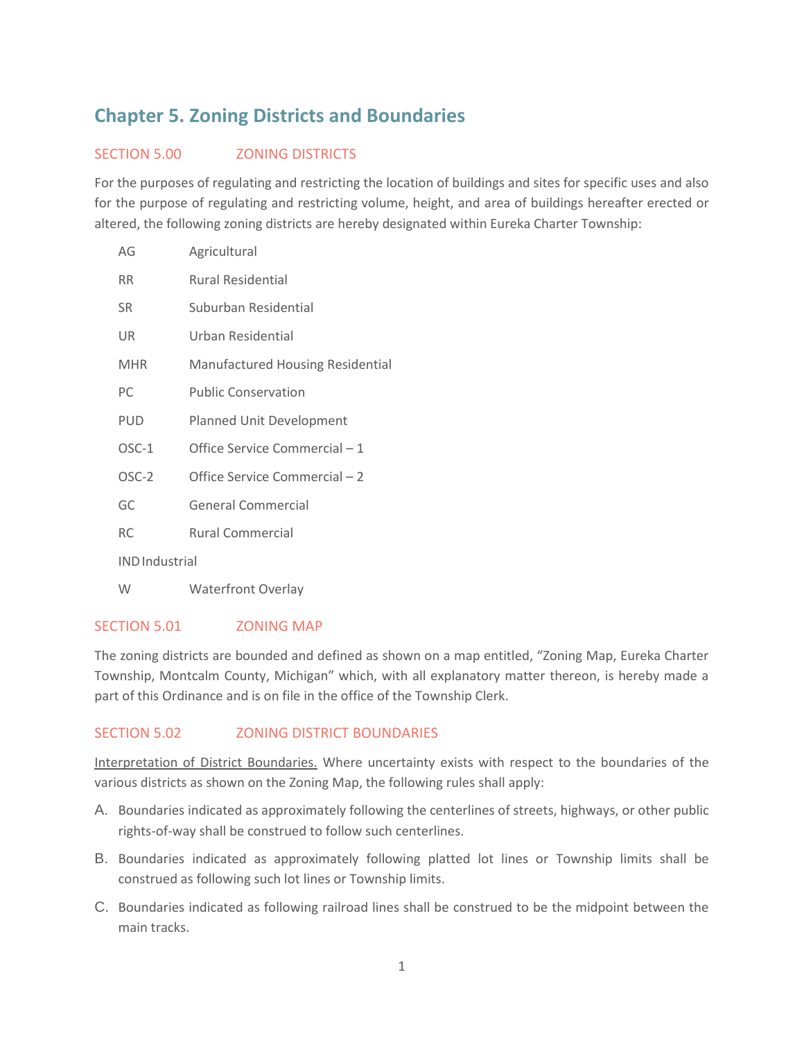# **Chapter 5. Zoning Districts and Boundaries**

## SECTION 5.00 **ZONING DISTRICTS**

For the purposes of regulating and restricting the location of buildings and sites for specific uses and also for the purpose of regulating and restricting volume, height, and area of buildings hereafter erected or altered, the following zoning districts are hereby designated within Eureka Charter Township:

| AG                    | Agricultural                            |
|-----------------------|-----------------------------------------|
| <b>RR</b>             | <b>Rural Residential</b>                |
| <b>SR</b>             | Suburban Residential                    |
| UR                    | Urban Residential                       |
| <b>MHR</b>            | <b>Manufactured Housing Residential</b> |
| PC                    | <b>Public Conservation</b>              |
| <b>PUD</b>            | Planned Unit Development                |
| $OSC-1$               | Office Service Commercial - 1           |
| OSC-2                 | Office Service Commercial - 2           |
| GC                    | General Commercial                      |
| RC.                   | Rural Commercial                        |
| <b>IND</b> Industrial |                                         |

W Waterfront Overlay

#### SECTION 5.01 ZONING MAP

The zoning districts are bounded and defined as shown on a map entitled, "Zoning Map, Eureka Charter Township, Montcalm County, Michigan" which, with all explanatory matter thereon, is hereby made a part of this Ordinance and is on file in the office of the Township Clerk.

## SECTION 5.02 **ZONING DISTRICT BOUNDARIES**

Interpretation of District Boundaries. Where uncertainty exists with respect to the boundaries of the various districts as shown on the Zoning Map, the following rules shall apply:

- A. Boundaries indicated as approximately following the centerlines of streets, highways, or other public rights-of-way shall be construed to follow such centerlines.
- B. Boundaries indicated as approximately following platted lot lines or Township limits shall be construed as following such lot lines or Township limits.
- C. Boundaries indicated as following railroad lines shall be construed to be the midpoint between the main tracks.